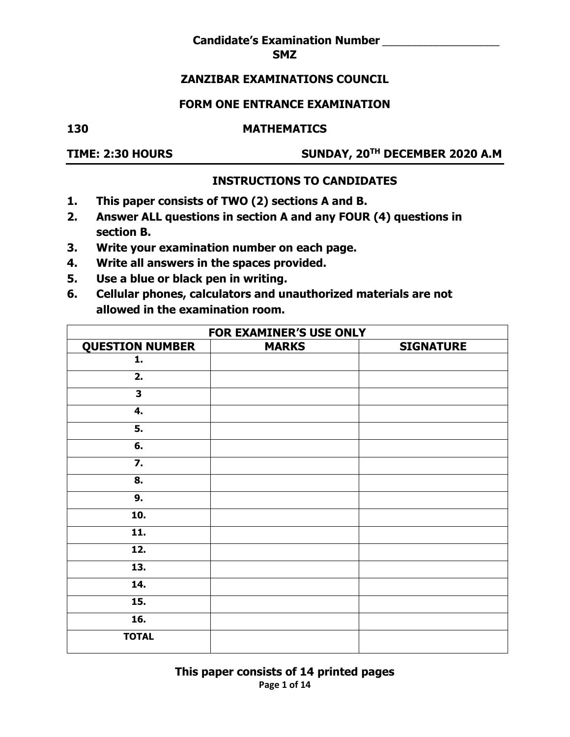#### **Candidate's Examination Number** \_\_\_\_\_\_\_\_\_\_\_\_\_\_\_\_\_\_\_\_\_\_\_ **SMZ**

#### **ZANZIBAR EXAMINATIONS COUNCIL**

#### **FORM ONE ENTRANCE EXAMINATION**

# **130 MATHEMATICS**

**TIME: 2:30 HOURS SUNDAY, 20TH DECEMBER 2020 A.M** 

#### **INSTRUCTIONS TO CANDIDATES**

- **1. This paper consists of TWO (2) sections A and B.**
- **2. Answer ALL questions in section A and any FOUR (4) questions in section B.**
- **3. Write your examination number on each page.**
- **4. Write all answers in the spaces provided.**
- **5. Use a blue or black pen in writing.**
- **6. Cellular phones, calculators and unauthorized materials are not allowed in the examination room.**

| <b>FOR EXAMINER'S USE ONLY</b> |              |                  |  |  |  |  |  |  |  |  |  |
|--------------------------------|--------------|------------------|--|--|--|--|--|--|--|--|--|
| <b>QUESTION NUMBER</b>         | <b>MARKS</b> | <b>SIGNATURE</b> |  |  |  |  |  |  |  |  |  |
| 1.                             |              |                  |  |  |  |  |  |  |  |  |  |
| 2.                             |              |                  |  |  |  |  |  |  |  |  |  |
| $\overline{\mathbf{3}}$        |              |                  |  |  |  |  |  |  |  |  |  |
| 4.                             |              |                  |  |  |  |  |  |  |  |  |  |
| 5.                             |              |                  |  |  |  |  |  |  |  |  |  |
| 6.                             |              |                  |  |  |  |  |  |  |  |  |  |
| 7.                             |              |                  |  |  |  |  |  |  |  |  |  |
| 8.                             |              |                  |  |  |  |  |  |  |  |  |  |
| 9.                             |              |                  |  |  |  |  |  |  |  |  |  |
| 10.                            |              |                  |  |  |  |  |  |  |  |  |  |
| 11.                            |              |                  |  |  |  |  |  |  |  |  |  |
| 12.                            |              |                  |  |  |  |  |  |  |  |  |  |
| 13.                            |              |                  |  |  |  |  |  |  |  |  |  |
| 14.                            |              |                  |  |  |  |  |  |  |  |  |  |
| 15.                            |              |                  |  |  |  |  |  |  |  |  |  |
| 16.                            |              |                  |  |  |  |  |  |  |  |  |  |
| <b>TOTAL</b>                   |              |                  |  |  |  |  |  |  |  |  |  |

**Page 1 of 14 This paper consists of 14 printed pages**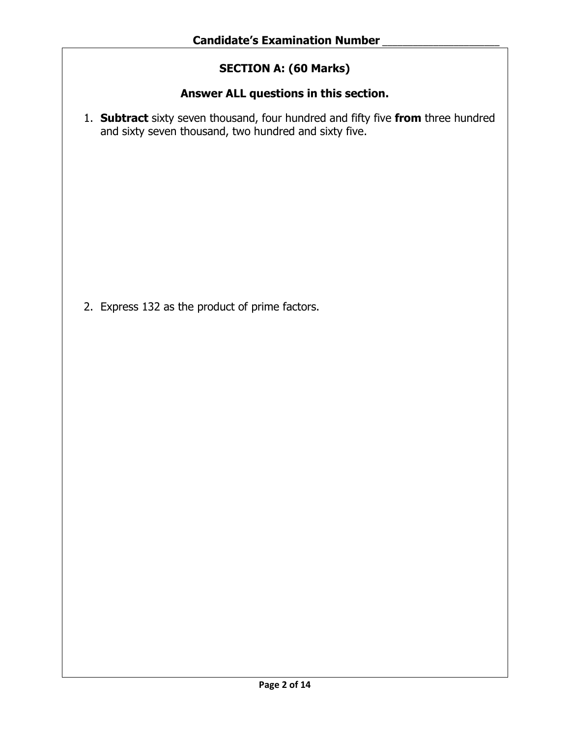## **SECTION A: (60 Marks)**

## **Answer ALL questions in this section.**

1. **Subtract** sixty seven thousand, four hundred and fifty five **from** three hundred and sixty seven thousand, two hundred and sixty five.

2. Express 132 as the product of prime factors.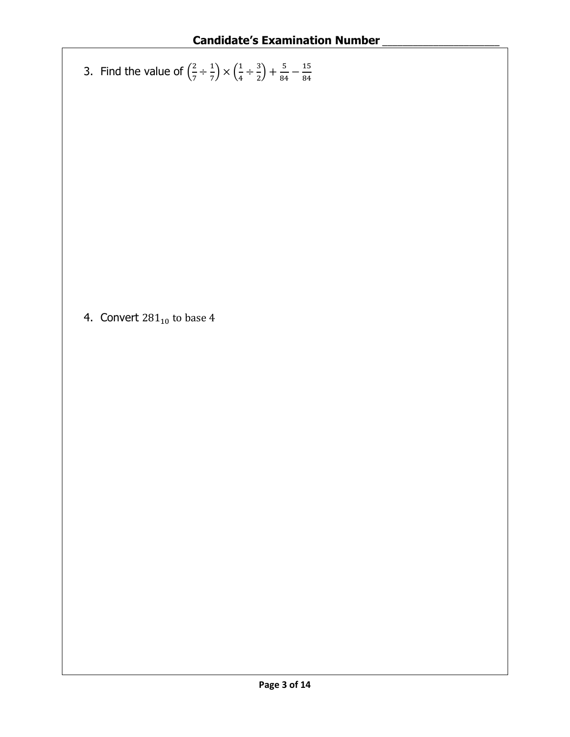3. Find the value of 
$$
\left(\frac{2}{7} \div \frac{1}{7}\right) \times \left(\frac{1}{4} \div \frac{3}{2}\right) + \frac{5}{84} - \frac{15}{84}
$$

4. Convert  $281_{10}$  to base 4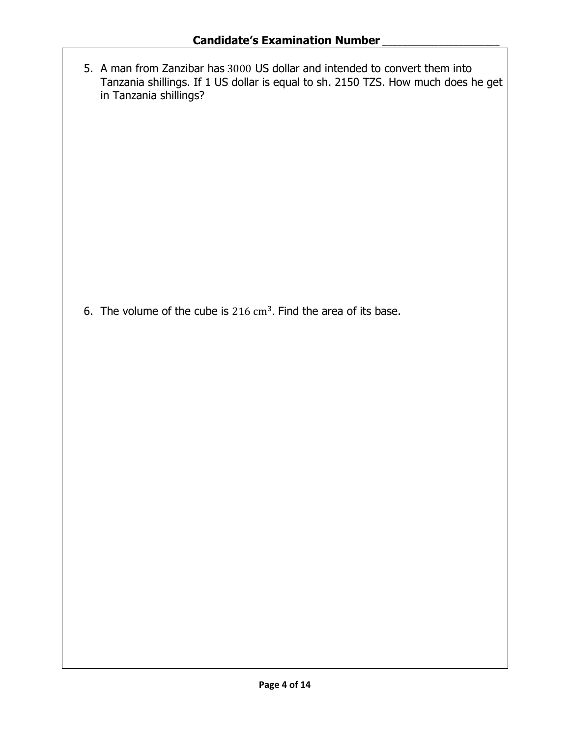5. A man from Zanzibar has 3000 US dollar and intended to convert them into Tanzania shillings. If 1 US dollar is equal to sh. 2150 TZS. How much does he get in Tanzania shillings?

6. The volume of the cube is  $216 \text{ cm}^3$ . Find the area of its base.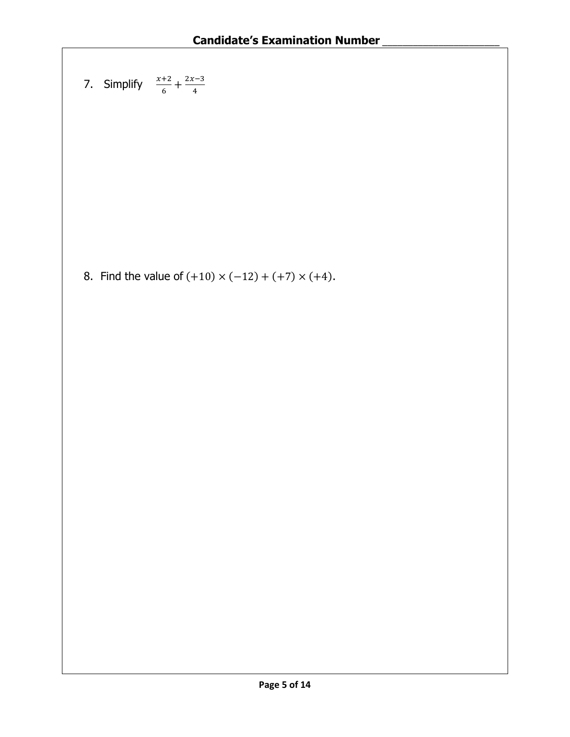7. Simplify 
$$
\frac{x+2}{6} + \frac{2x-3}{4}
$$

8. Find the value of  $(+10) \times (-12) + (+7) \times (+4)$ .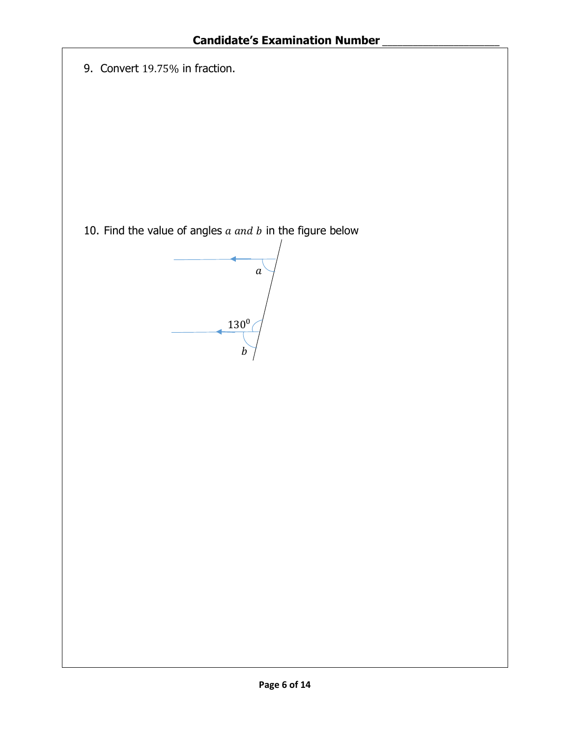|  | 9. Convert 19.75% in fraction. |  |  |
|--|--------------------------------|--|--|
|--|--------------------------------|--|--|

10. Find the value of angles  $a$  and  $b$  in the figure below

 $\overline{a}$  $130^{0}$  $\overline{b}$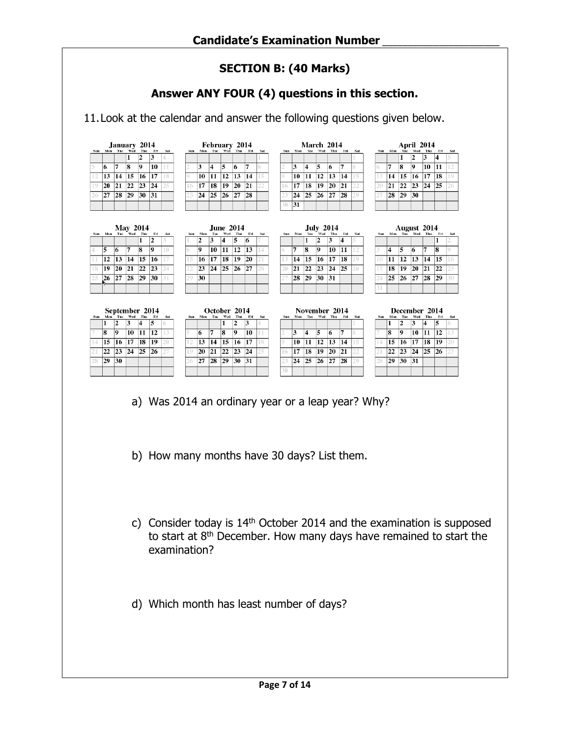## **SECTION B: (40 Marks)**

## **Answer ANY FOUR (4) questions in this section.**

11.Look at the calendar and answer the following questions given below.

|                | January 2014 |     |                    |     |     |     |  |  |  |  |  |  |  |  |
|----------------|--------------|-----|--------------------|-----|-----|-----|--|--|--|--|--|--|--|--|
| Sun            | Mon          | Tue | Wed                | Thu | Fri | Sat |  |  |  |  |  |  |  |  |
|                |              |     |                    | 2   | 3   | 4   |  |  |  |  |  |  |  |  |
|                | 6            | 7   | 8                  | 9   | 10  |     |  |  |  |  |  |  |  |  |
|                | 13           |     | $14 \overline{15}$ | 16  | 17  |     |  |  |  |  |  |  |  |  |
| $\overline{0}$ | 20           |     | 21 22              | 23  | 24  |     |  |  |  |  |  |  |  |  |
|                | 27           | 28  | 29                 | 30  | 31  |     |  |  |  |  |  |  |  |  |
|                |              |     |                    |     |     |     |  |  |  |  |  |  |  |  |

| February 2014 |    |           |                 |            |     |                |  |  |  |  |  |  |  |
|---------------|----|-----------|-----------------|------------|-----|----------------|--|--|--|--|--|--|--|
| Sun           |    |           | Mon Tue Wed Thu |            | Fri | Sat            |  |  |  |  |  |  |  |
|               |    |           |                 |            |     |                |  |  |  |  |  |  |  |
|               | ٩  |           | 5               | 6          | 7   |                |  |  |  |  |  |  |  |
|               | 10 | 11        | 12              | $\vert$ 13 | 14  | 1 <sup>5</sup> |  |  |  |  |  |  |  |
| 16            | 17 | 18        | 19              | 20         | 21  |                |  |  |  |  |  |  |  |
|               | 24 | $ 25 $ 26 |                 | 27         | 28  |                |  |  |  |  |  |  |  |
|               |    |           |                 |            |     |                |  |  |  |  |  |  |  |

|            | March 2014                          |    |    |    |    |   |  |  |  |  |  |  |  |  |  |
|------------|-------------------------------------|----|----|----|----|---|--|--|--|--|--|--|--|--|--|
| <b>Sun</b> | Wed Thu<br>Fri<br>Tue<br>Mon<br>Sat |    |    |    |    |   |  |  |  |  |  |  |  |  |  |
|            |                                     |    |    |    |    |   |  |  |  |  |  |  |  |  |  |
|            | 3                                   | 4  | 5  | 6  | 7  | R |  |  |  |  |  |  |  |  |  |
|            | 10                                  | 11 | 12 | 13 | 14 |   |  |  |  |  |  |  |  |  |  |
| 16         | 17                                  | 18 | 19 | 20 | 21 |   |  |  |  |  |  |  |  |  |  |
|            | 24                                  | 25 | 26 | 27 | 28 |   |  |  |  |  |  |  |  |  |  |
|            | 31                                  |    |    |    |    |   |  |  |  |  |  |  |  |  |  |

| Sun | Mon | Tue | <b>April 2014</b><br>Wed | Thu | Fri | Sat |
|-----|-----|-----|--------------------------|-----|-----|-----|
|     |     |     | $\mathbf{2}$             | 3   |     |     |
|     | 7   | 8   | 9                        | 10  | 11  |     |
|     | 14  | 15  | 16                       | 17  | 18  |     |
|     | 21  | 22  | 23                       | 24  | 25  |     |
|     | 28  | 29  | 30                       |     |     |     |

|            |     |     |                 | <b>May 2014</b> |       |     |            |          |         | <b>June 2014</b> |           |            |     |    |            |               | <b>July 2014</b>        |         |       |     |      |     |     | August 2014     |     |       |    |
|------------|-----|-----|-----------------|-----------------|-------|-----|------------|----------|---------|------------------|-----------|------------|-----|----|------------|---------------|-------------------------|---------|-------|-----|------|-----|-----|-----------------|-----|-------|----|
| <b>Sun</b> |     |     | Mon Tue Wed Thu |                 | Fri   | Sat | <b>Sun</b> | Mon      | Tue     | Wed              | Thu       | <b>Fri</b> | Sat |    | <b>Sun</b> | Mon           | Tue                     | Wed Thu | Fri   | Sat | Sun. |     |     | Mon Tue Wed Thu |     | - Fri | Sa |
|            |     |     |                 |                 | 2     |     |            | 2        | 3       | 4                | 5         | 6          |     |    |            |               | $\overline{\mathbf{2}}$ | 3       | 4     |     |      |     |     |                 |     |       |    |
|            | 5   | 6   |                 | 8               | 9     | 10  |            | <b>Q</b> | 10      | 11               | 12        | 13         |     | 6  |            | l8            | 9                       | 10      | 11    |     |      | 4   | 5   | 6               | 7   | l8    |    |
|            | 12  | 13  | 14              | 15              | 16    |     | 15         | 16       | 17      | 18               | 19        | 20         |     | 13 |            | 15<br>14      | 16                      | 17      | 18    |     | 10   | 11  | 12  | 13              | 14  | 15    |    |
|            | 19  | 20  | 21              | 22              | 23    |     |            | 23       | 24      | 25               | <b>26</b> | 27         |     | 20 |            | 22<br>21      | 23                      | 24      | 25    |     |      | 18  | 19  | 20              | 21  | 22    |    |
| 25         | 26  | 27  | 28              | 29              | 30    |     | 29         | 30       |         |                  |           |            |     | 27 |            | 28 29         | 30                      | 31      |       |     |      | 25  | 26  | 27              | 28  | 29    |    |
|            |     |     |                 |                 |       |     |            |          |         |                  |           |            |     |    |            |               |                         |         |       |     |      |     |     |                 |     |       |    |
|            | Mon | Tue | September 2014  |                 |       |     |            |          |         |                  |           |            |     |    |            |               |                         |         |       |     |      |     |     |                 |     |       |    |
| <b>Sun</b> |     | 2   |                 |                 |       |     |            |          |         | October 2014     |           |            |     |    |            | November 2014 |                         |         |       |     |      |     |     | December 2014   |     |       |    |
|            |     |     |                 | Wed Thu         | - Fri | Sat | Sun.       |          | Mon Tue | Wed              | Thu       | - Fri      | Sat |    | Sun.       | Mon           | Tue                     | Wed Thu | - Fri | Sat | Sun  | Mon | Tue | Wed             | Thu | - Fri | Sa |
|            |     |     | 3               | 4               | 5     |     |            |          |         |                  | 2         | 3          |     |    |            |               |                         |         |       |     |      |     | 2   | 3               | 14  | 5     |    |
|            | 8   | Q   | 10              | 11              | 12    |     |            | 16       | 7       | l8               | 9         | 10         |     | 2  | 3          | 14            | 5                       | 6       | 7     |     |      | 8   | 0   | 10              | 11  | 12    |    |
|            | 15  | 16  | 17              | 18              | 19    |     |            | 13       | 14      | 15               | 16        | 17         |     | 0  |            | 11<br>10      | 12                      | 13      | 14    |     | 14   | 15  | 16  | 17              | 18  | 19    |    |
|            | 22  | 23  | 24              | 25              | 26    |     | 19         | 20       | 21      | 22               | 23        | 24         |     | 16 |            | 17<br>18      | 19                      | 20      | 21    |     |      | 22  | 23  | 24              | 25  | 26    |    |
|            | 29  | 30  |                 |                 |       |     | 26         | 27       | 28      | 29               | 30        | 31         |     | 23 |            | 25<br>24      | 26                      | 27      | 28    |     | 25   | 29  | 30  | 31              |     |       |    |
|            |     |     |                 |                 |       |     |            |          |         |                  |           |            |     | 30 |            |               |                         |         |       |     |      |     |     |                 |     |       |    |

- a) Was 2014 an ordinary year or a leap year? Why?
- b) How many months have 30 days? List them.
- c) Consider today is  $14<sup>th</sup>$  October 2014 and the examination is supposed to start at 8<sup>th</sup> December. How many days have remained to start the examination?
- d) Which month has least number of days?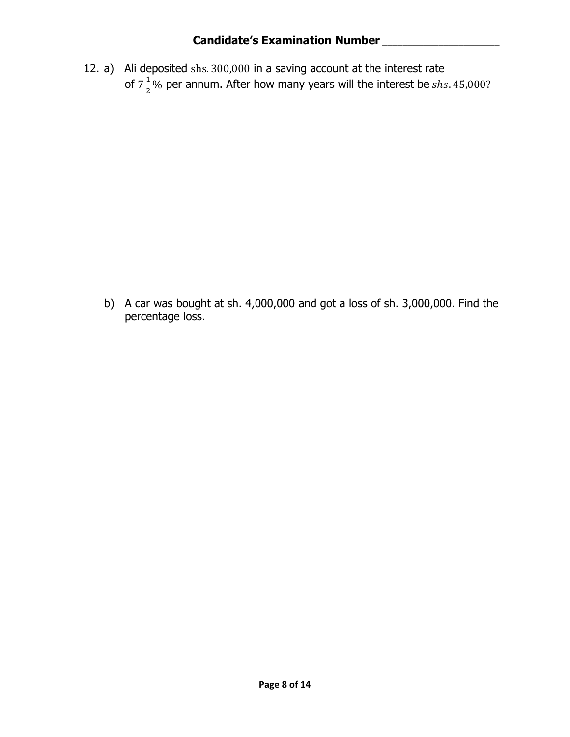12. a) Ali deposited shs. 300,000 in a saving account at the interest rate of  $7\frac{1}{2}$  $\frac{1}{2}$ % per annum. After how many years will the interest be shs. 45,000?

b) A car was bought at sh. 4,000,000 and got a loss of sh. 3,000,000. Find the percentage loss.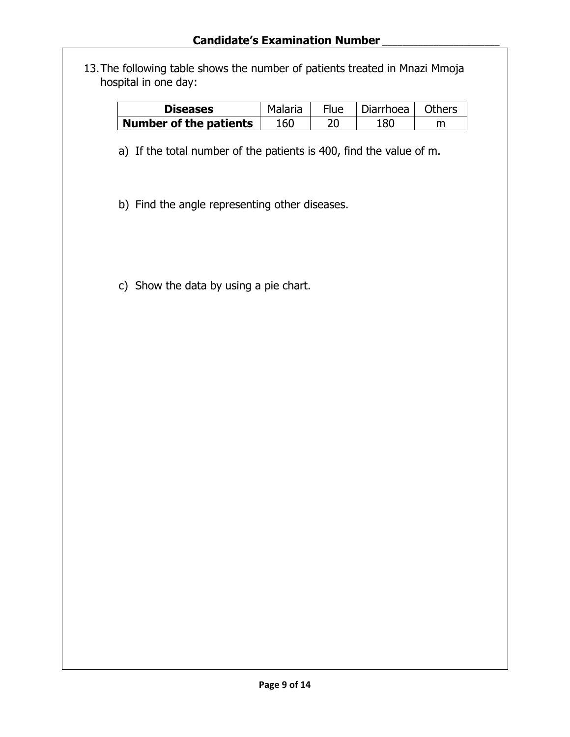13.The following table shows the number of patients treated in Mnazi Mmoja hospital in one day:

| <b>Diseases</b>               | Malaria | <b>Flue</b> | l Diarrhoea l | <b>Others</b> |
|-------------------------------|---------|-------------|---------------|---------------|
| <b>Number of the patients</b> | 160     | 20          | 180           |               |

a) If the total number of the patients is 400, find the value of m.

b) Find the angle representing other diseases.

c) Show the data by using a pie chart.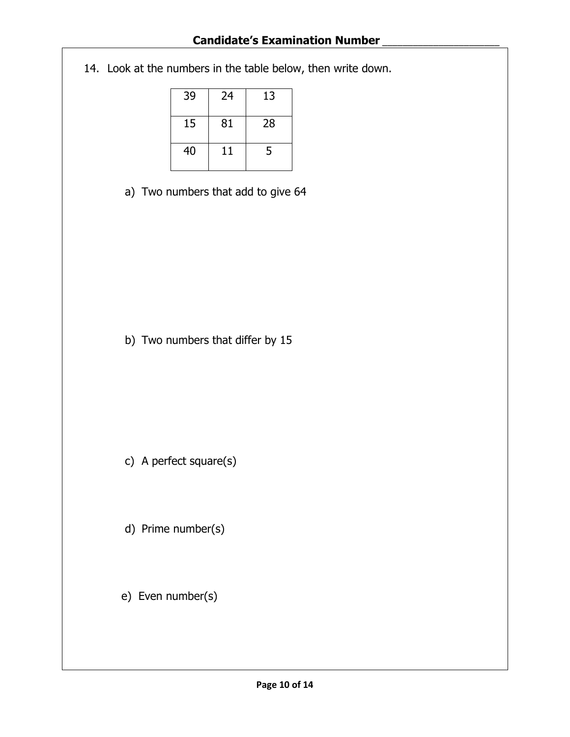## **Candidate's Examination Number** \_\_\_\_\_\_\_\_\_\_\_\_\_\_\_\_\_\_\_\_\_\_\_

14. Look at the numbers in the table below, then write down.

| 39 | 24 | 13 |
|----|----|----|
| 15 | 81 | 28 |
| 40 | 11 | 5  |

a) Two numbers that add to give 64

b) Two numbers that differ by 15

c) A perfect square(s)

d) Prime number(s)

e) Even number(s)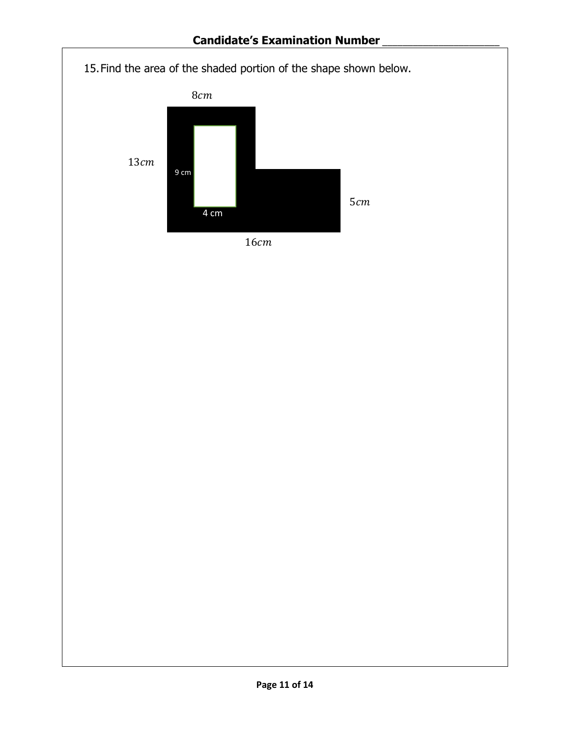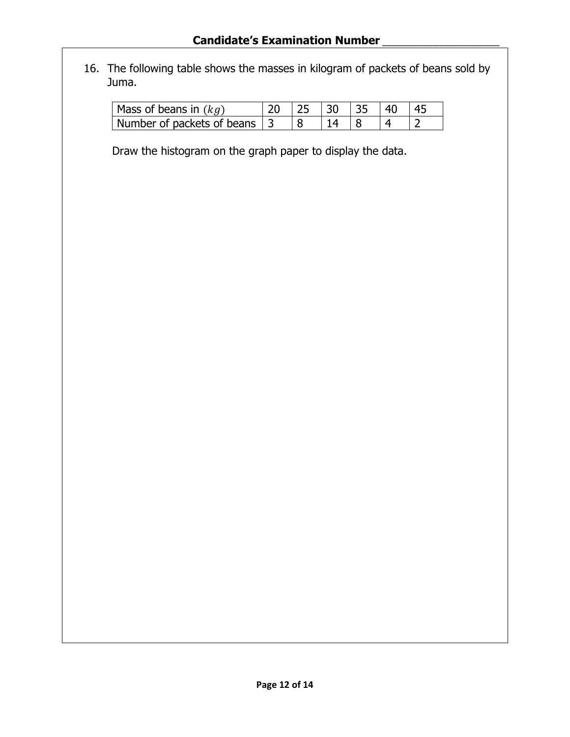## **Candidate's Examination Number** \_\_\_\_\_\_\_\_\_\_\_\_\_\_\_\_\_\_\_\_\_\_\_

16. The following table shows the masses in kilogram of packets of beans sold by Juma.

| Mass of beans in $(kg)$         |  |  |  |
|---------------------------------|--|--|--|
| l Number of packets of beans 13 |  |  |  |

Draw the histogram on the graph paper to display the data.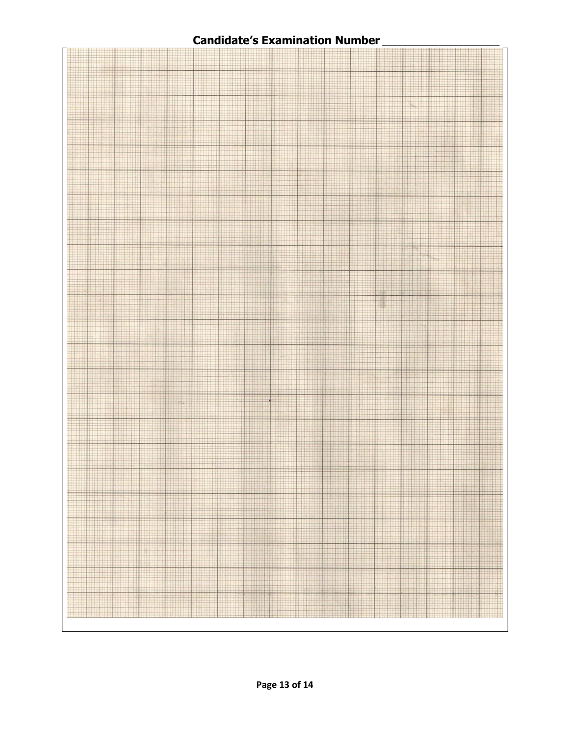## **Candidate's Examination Number** \_\_\_\_\_\_\_\_\_\_\_\_\_\_\_\_\_\_\_\_\_\_\_